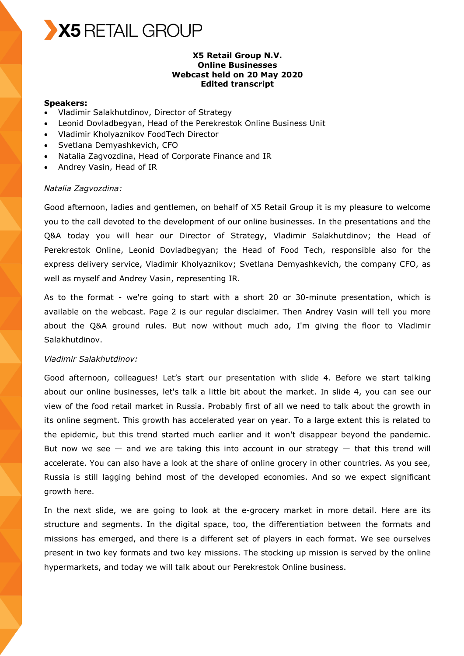

## **X5 Retail Group N.V. Online Businesses Webcast held on 20 May 2020 Edited transcript**

#### **Speakers:**

- Vladimir Salakhutdinov, Director of Strategy
- Leonid Dovladbegyan, Head of the Perekrestok Online Business Unit
- Vladimir Kholyaznikov FoodTech Director
- Svetlana Demyashkevich, CFO
- Natalia Zagvozdina, Head of Corporate Finance and IR
- Andrey Vasin, Head of IR

#### *Natalia Zagvozdina:*

Good afternoon, ladies and gentlemen, on behalf of X5 Retail Group it is my pleasure to welcome you to the call devoted to the development of our online businesses. In the presentations and the Q&A today you will hear our Director of Strategy, Vladimir Salakhutdinov; the Head of Perekrestok Online, Leonid Dovladbegyan; the Head of Food Tech, responsible also for the express delivery service, Vladimir Kholyaznikov; Svetlana Demyashkevich, the company CFO, as well as myself and Andrey Vasin, representing IR.

As to the format - we're going to start with a short 20 or 30-minute presentation, which is available on the webcast. Page 2 is our regular disclaimer. Then Andrey Vasin will tell you more about the Q&A ground rules. But now without much ado, I'm giving the floor to Vladimir Salakhutdinov.

#### *Vladimir Salakhutdinov:*

Good afternoon, colleagues! Let's start our presentation with slide 4. Before we start talking about our online businesses, let's talk a little bit about the market. In slide 4, you can see our view of the food retail market in Russia. Probably first of all we need to talk about the growth in its online segment. This growth has accelerated year on year. To a large extent this is related to the epidemic, but this trend started much earlier and it won't disappear beyond the pandemic. But now we see  $-$  and we are taking this into account in our strategy  $-$  that this trend will accelerate. You can also have a look at the share of online grocery in other countries. As you see, Russia is still lagging behind most of the developed economies. And so we expect significant growth here.

In the next slide, we are going to look at the e-grocery market in more detail. Here are its structure and segments. In the digital space, too, the differentiation between the formats and missions has emerged, and there is a different set of players in each format. We see ourselves present in two key formats and two key missions. The stocking up mission is served by the online hypermarkets, and today we will talk about our Perekrestok Online business.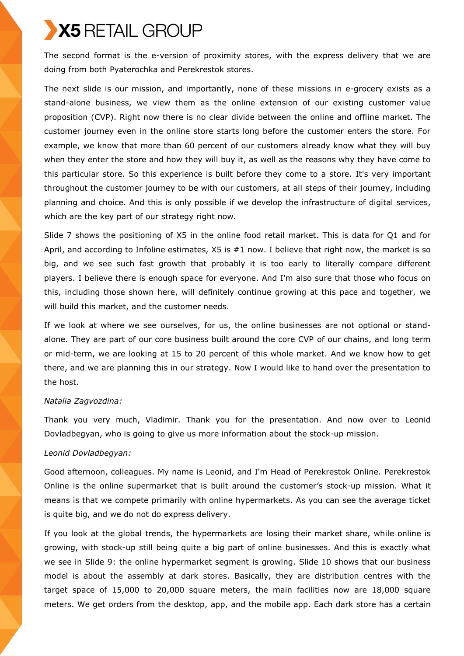The second format is the e-version of proximity stores, with the express delivery that we are doing from both Pyaterochka and Perekrestok stores.

The next slide is our mission, and importantly, none of these missions in e-grocery exists as a stand-alone business, we view them as the online extension of our existing customer value proposition (CVP). Right now there is no clear divide between the online and offline market. The customer journey even in the online store starts long before the customer enters the store. For example, we know that more than 60 percent of our customers already know what they will buy when they enter the store and how they will buy it, as well as the reasons why they have come to this particular store. So this experience is built before they come to a store. It's very important throughout the customer journey to be with our customers, at all steps of their journey, including planning and choice. And this is only possible if we develop the infrastructure of digital services, which are the key part of our strategy right now.

Slide 7 shows the positioning of X5 in the online food retail market. This is data for Q1 and for April, and according to Infoline estimates,  $X5$  is  $#1$  now. I believe that right now, the market is so big, and we see such fast growth that probably it is too early to literally compare different players. I believe there is enough space for everyone. And I'm also sure that those who focus on this, including those shown here, will definitely continue growing at this pace and together, we will build this market, and the customer needs.

If we look at where we see ourselves, for us, the online businesses are not optional or standalone. They are part of our core business built around the core CVP of our chains, and long term or mid-term, we are looking at 15 to 20 percent of this whole market. And we know how to get there, and we are planning this in our strategy. Now I would like to hand over the presentation to the host.

## *Natalia Zagvozdina:*

Thank you very much, Vladimir. Thank you for the presentation. And now over to Leonid Dovladbegyan, who is going to give us more information about the stock-up mission.

## *Leonid Dovladbegyan:*

Good afternoon, colleagues. My name is Leonid, and I'm Head of Perekrestok Online. Perekrestok Online is the online supermarket that is built around the customer's stock-up mission. What it means is that we compete primarily with online hypermarkets. As you can see the average ticket is quite big, and we do not do express delivery.

If you look at the global trends, the hypermarkets are losing their market share, while online is growing, with stock-up still being quite a big part of online businesses. And this is exactly what we see in Slide 9: the online hypermarket segment is growing. Slide 10 shows that our business model is about the assembly at dark stores. Basically, they are distribution centres with the target space of 15,000 to 20,000 square meters, the main facilities now are 18,000 square meters. We get orders from the desktop, app, and the mobile app. Each dark store has a certain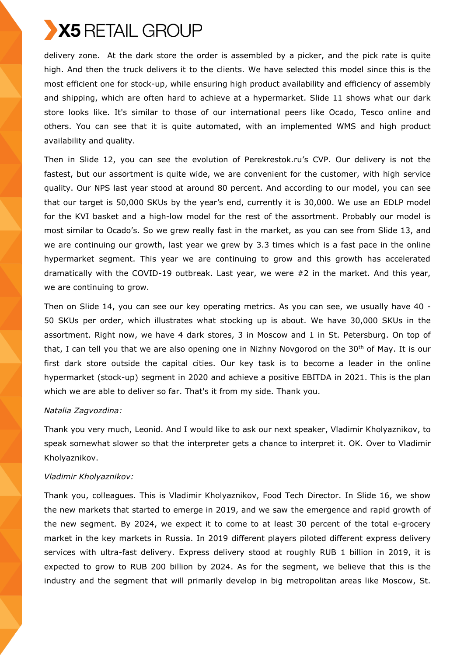delivery zone. At the dark store the order is assembled by a picker, and the pick rate is quite high. And then the truck delivers it to the clients. We have selected this model since this is the most efficient one for stock-up, while ensuring high product availability and efficiency of assembly and shipping, which are often hard to achieve at a hypermarket. Slide 11 shows what our dark store looks like. It's similar to those of our international peers like Ocado, Tesco online and others. You can see that it is quite automated, with an implemented WMS and high product availability and quality.

Then in Slide 12, you can see the evolution of Perekrestok.ru's CVP. Our delivery is not the fastest, but our assortment is quite wide, we are convenient for the customer, with high service quality. Our NPS last year stood at around 80 percent. And according to our model, you can see that our target is 50,000 SKUs by the year's end, currently it is 30,000. We use an EDLP model for the KVI basket and a high-low model for the rest of the assortment. Probably our model is most similar to Ocado's. So we grew really fast in the market, as you can see from Slide 13, and we are continuing our growth, last year we grew by 3.3 times which is a fast pace in the online hypermarket segment. This year we are continuing to grow and this growth has accelerated dramatically with the COVID-19 outbreak. Last year, we were #2 in the market. And this year, we are continuing to grow.

Then on Slide 14, you can see our key operating metrics. As you can see, we usually have 40 - 50 SKUs per order, which illustrates what stocking up is about. We have 30,000 SKUs in the assortment. Right now, we have 4 dark stores, 3 in Moscow and 1 in St. Petersburg. On top of that, I can tell you that we are also opening one in Nizhny Novgorod on the  $30<sup>th</sup>$  of May. It is our first dark store outside the capital cities. Our key task is to become a leader in the online hypermarket (stock-up) segment in 2020 and achieve a positive EBITDA in 2021. This is the plan which we are able to deliver so far. That's it from my side. Thank you.

## *Natalia Zagvozdina:*

Thank you very much, Leonid. And I would like to ask our next speaker, Vladimir Kholyaznikov, to speak somewhat slower so that the interpreter gets a chance to interpret it. OK. Over to Vladimir Kholyaznikov.

# *Vladimir Kholyaznikov:*

Thank you, colleagues. This is Vladimir Kholyaznikov, Food Tech Director. In Slide 16, we show the new markets that started to emerge in 2019, and we saw the emergence and rapid growth of the new segment. By 2024, we expect it to come to at least 30 percent of the total e-grocery market in the key markets in Russia. In 2019 different players piloted different express delivery services with ultra-fast delivery. Express delivery stood at roughly RUB 1 billion in 2019, it is expected to grow to RUB 200 billion by 2024. As for the segment, we believe that this is the industry and the segment that will primarily develop in big metropolitan areas like Moscow, St.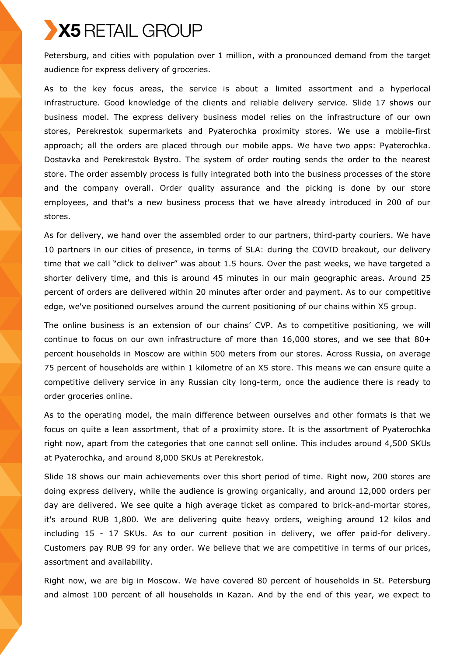Petersburg, and cities with population over 1 million, with a pronounced demand from the target audience for express delivery of groceries.

As to the key focus areas, the service is about a limited assortment and a hyperlocal infrastructure. Good knowledge of the clients and reliable delivery service. Slide 17 shows our business model. The express delivery business model relies on the infrastructure of our own stores, Perekrestok supermarkets and Pyaterochka proximity stores. We use a mobile-first approach; all the orders are placed through our mobile apps. We have two apps: Pyaterochka. Dostavka and Perekrestok Bystro. The system of order routing sends the order to the nearest store. The order assembly process is fully integrated both into the business processes of the store and the company overall. Order quality assurance and the picking is done by our store employees, and that's a new business process that we have already introduced in 200 of our stores.

As for delivery, we hand over the assembled order to our partners, third-party couriers. We have 10 partners in our cities of presence, in terms of SLA: during the COVID breakout, our delivery time that we call "click to deliver" was about 1.5 hours. Over the past weeks, we have targeted a shorter delivery time, and this is around 45 minutes in our main geographic areas. Around 25 percent of orders are delivered within 20 minutes after order and payment. As to our competitive edge, we've positioned ourselves around the current positioning of our chains within X5 group.

The online business is an extension of our chains' CVP. As to competitive positioning, we will continue to focus on our own infrastructure of more than 16,000 stores, and we see that 80+ percent households in Moscow are within 500 meters from our stores. Across Russia, on average 75 percent of households are within 1 kilometre of an X5 store. This means we can ensure quite a competitive delivery service in any Russian city long-term, once the audience there is ready to order groceries online.

As to the operating model, the main difference between ourselves and other formats is that we focus on quite a lean assortment, that of a proximity store. It is the assortment of Pyaterochka right now, apart from the categories that one cannot sell online. This includes around 4,500 SKUs at Pyaterochka, and around 8,000 SKUs at Perekrestok.

Slide 18 shows our main achievements over this short period of time. Right now, 200 stores are doing express delivery, while the audience is growing organically, and around 12,000 orders per day are delivered. We see quite a high average ticket as compared to brick-and-mortar stores, it's around RUB 1,800. We are delivering quite heavy orders, weighing around 12 kilos and including 15 - 17 SKUs. As to our current position in delivery, we offer paid-for delivery. Customers pay RUB 99 for any order. We believe that we are competitive in terms of our prices, assortment and availability.

Right now, we are big in Moscow. We have covered 80 percent of households in St. Petersburg and almost 100 percent of all households in Kazan. And by the end of this year, we expect to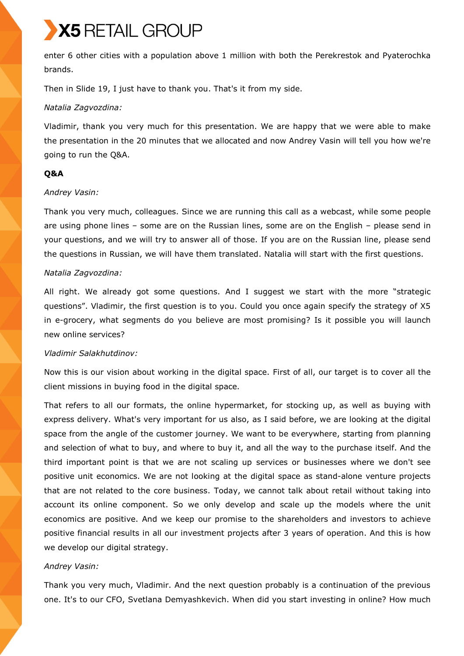enter 6 other cities with a population above 1 million with both the Perekrestok and Pyaterochka brands.

Then in Slide 19, I just have to thank you. That's it from my side.

# *Natalia Zagvozdina:*

Vladimir, thank you very much for this presentation. We are happy that we were able to make the presentation in the 20 minutes that we allocated and now Andrey Vasin will tell you how we're going to run the Q&A.

# **Q&A**

# *Andrey Vasin:*

Thank you very much, colleagues. Since we are running this call as a webcast, while some people are using phone lines – some are on the Russian lines, some are on the English – please send in your questions, and we will try to answer all of those. If you are on the Russian line, please send the questions in Russian, we will have them translated. Natalia will start with the first questions.

# *Natalia Zagvozdina:*

All right. We already got some questions. And I suggest we start with the more "strategic questions". Vladimir, the first question is to you. Could you once again specify the strategy of X5 in e-grocery, what segments do you believe are most promising? Is it possible you will launch new online services?

# *Vladimir Salakhutdinov:*

Now this is our vision about working in the digital space. First of all, our target is to cover all the client missions in buying food in the digital space.

That refers to all our formats, the online hypermarket, for stocking up, as well as buying with express delivery. What's very important for us also, as I said before, we are looking at the digital space from the angle of the customer journey. We want to be everywhere, starting from planning and selection of what to buy, and where to buy it, and all the way to the purchase itself. And the third important point is that we are not scaling up services or businesses where we don't see positive unit economics. We are not looking at the digital space as stand-alone venture projects that are not related to the core business. Today, we cannot talk about retail without taking into account its online component. So we only develop and scale up the models where the unit economics are positive. And we keep our promise to the shareholders and investors to achieve positive financial results in all our investment projects after 3 years of operation. And this is how we develop our digital strategy.

# *Andrey Vasin:*

Thank you very much, Vladimir. And the next question probably is a continuation of the previous one. It's to our CFO, Svetlana Demyashkevich. When did you start investing in online? How much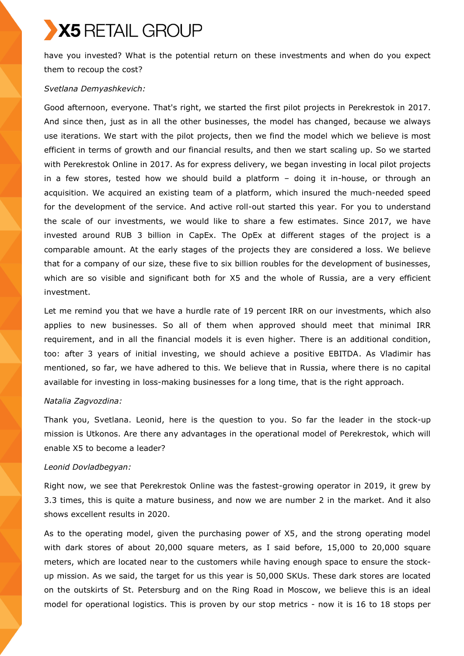have you invested? What is the potential return on these investments and when do you expect them to recoup the cost?

### *Svetlana Demyashkevich:*

Good afternoon, everyone. That's right, we started the first pilot projects in Perekrestok in 2017. And since then, just as in all the other businesses, the model has changed, because we always use iterations. We start with the pilot projects, then we find the model which we believe is most efficient in terms of growth and our financial results, and then we start scaling up. So we started with Perekrestok Online in 2017. As for express delivery, we began investing in local pilot projects in a few stores, tested how we should build a platform – doing it in-house, or through an acquisition. We acquired an existing team of a platform, which insured the much-needed speed for the development of the service. And active roll-out started this year. For you to understand the scale of our investments, we would like to share a few estimates. Since 2017, we have invested around RUB 3 billion in CapEx. The OpEx at different stages of the project is a comparable amount. At the early stages of the projects they are considered a loss. We believe that for a company of our size, these five to six billion roubles for the development of businesses, which are so visible and significant both for X5 and the whole of Russia, are a very efficient investment.

Let me remind you that we have a hurdle rate of 19 percent IRR on our investments, which also applies to new businesses. So all of them when approved should meet that minimal IRR requirement, and in all the financial models it is even higher. There is an additional condition, too: after 3 years of initial investing, we should achieve a positive EBITDA. As Vladimir has mentioned, so far, we have adhered to this. We believe that in Russia, where there is no capital available for investing in loss-making businesses for a long time, that is the right approach.

## *Natalia Zagvozdina:*

Thank you, Svetlana. Leonid, here is the question to you. So far the leader in the stock-up mission is Utkonos. Are there any advantages in the operational model of Perekrestok, which will enable X5 to become a leader?

## *Leonid Dovladbegyan:*

Right now, we see that Perekrestok Online was the fastest-growing operator in 2019, it grew by 3.3 times, this is quite a mature business, and now we are number 2 in the market. And it also shows excellent results in 2020.

As to the operating model, given the purchasing power of X5, and the strong operating model with dark stores of about 20,000 square meters, as I said before, 15,000 to 20,000 square meters, which are located near to the customers while having enough space to ensure the stockup mission. As we said, the target for us this year is 50,000 SKUs. These dark stores are located on the outskirts of St. Petersburg and on the Ring Road in Moscow, we believe this is an ideal model for operational logistics. This is proven by our stop metrics - now it is 16 to 18 stops per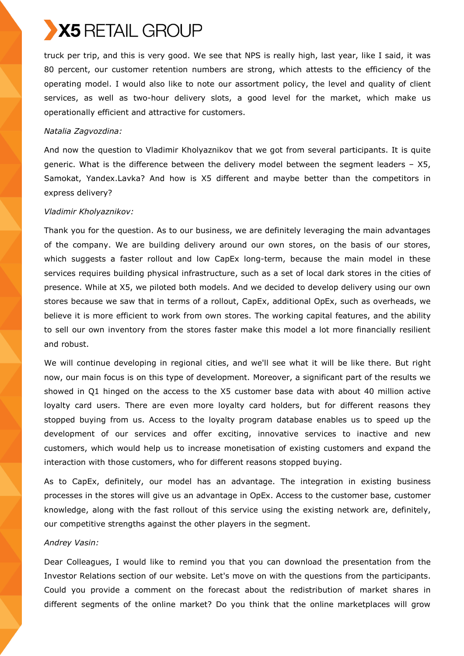truck per trip, and this is very good. We see that NPS is really high, last year, like I said, it was 80 percent, our customer retention numbers are strong, which attests to the efficiency of the operating model. I would also like to note our assortment policy, the level and quality of client services, as well as two-hour delivery slots, a good level for the market, which make us operationally efficient and attractive for customers.

## *Natalia Zagvozdina:*

And now the question to Vladimir Kholyaznikov that we got from several participants. It is quite generic. What is the difference between the delivery model between the segment leaders – X5, Samokat, Yandex.Lavka? And how is X5 different and maybe better than the competitors in express delivery?

## *Vladimir Kholyaznikov:*

Thank you for the question. As to our business, we are definitely leveraging the main advantages of the company. We are building delivery around our own stores, on the basis of our stores, which suggests a faster rollout and low CapEx long-term, because the main model in these services requires building physical infrastructure, such as a set of local dark stores in the cities of presence. While at X5, we piloted both models. And we decided to develop delivery using our own stores because we saw that in terms of a rollout, CapEx, additional OpEx, such as overheads, we believe it is more efficient to work from own stores. The working capital features, and the ability to sell our own inventory from the stores faster make this model a lot more financially resilient and robust.

We will continue developing in regional cities, and we'll see what it will be like there. But right now, our main focus is on this type of development. Moreover, a significant part of the results we showed in Q1 hinged on the access to the X5 customer base data with about 40 million active loyalty card users. There are even more loyalty card holders, but for different reasons they stopped buying from us. Access to the loyalty program database enables us to speed up the development of our services and offer exciting, innovative services to inactive and new customers, which would help us to increase monetisation of existing customers and expand the interaction with those customers, who for different reasons stopped buying.

As to CapEx, definitely, our model has an advantage. The integration in existing business processes in the stores will give us an advantage in OpEx. Access to the customer base, customer knowledge, along with the fast rollout of this service using the existing network are, definitely, our competitive strengths against the other players in the segment.

## *Andrey Vasin:*

Dear Colleagues, I would like to remind you that you can download the presentation from the Investor Relations section of our website. Let's move on with the questions from the participants. Could you provide a comment on the forecast about the redistribution of market shares in different segments of the online market? Do you think that the online marketplaces will grow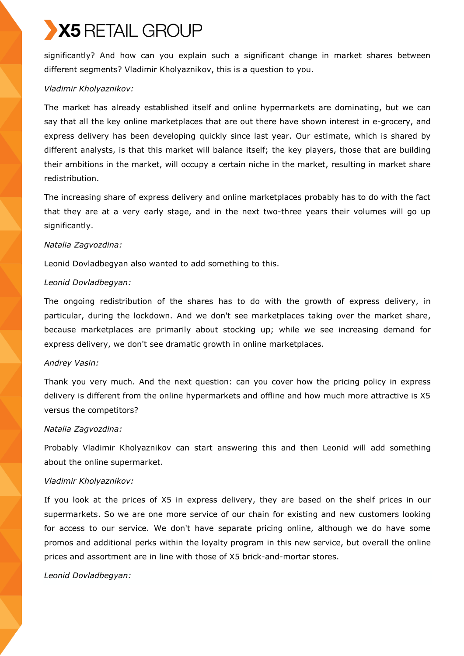significantly? And how can you explain such a significant change in market shares between different segments? Vladimir Kholyaznikov, this is a question to you.

# *Vladimir Kholyaznikov:*

The market has already established itself and online hypermarkets are dominating, but we can say that all the key online marketplaces that are out there have shown interest in e-grocery, and express delivery has been developing quickly since last year. Our estimate, which is shared by different analysts, is that this market will balance itself; the key players, those that are building their ambitions in the market, will occupy a certain niche in the market, resulting in market share redistribution.

The increasing share of express delivery and online marketplaces probably has to do with the fact that they are at a very early stage, and in the next two-three years their volumes will go up significantly.

# *Natalia Zagvozdina:*

Leonid Dovladbegyan also wanted to add something to this.

# *Leonid Dovladbegyan:*

The ongoing redistribution of the shares has to do with the growth of express delivery, in particular, during the lockdown. And we don't see marketplaces taking over the market share, because marketplaces are primarily about stocking up; while we see increasing demand for express delivery, we don't see dramatic growth in online marketplaces.

## *Andrey Vasin:*

Thank you very much. And the next question: can you cover how the pricing policy in express delivery is different from the online hypermarkets and offline and how much more attractive is X5 versus the competitors?

# *Natalia Zagvozdina:*

Probably Vladimir Kholyaznikov can start answering this and then Leonid will add something about the online supermarket.

# *Vladimir Kholyaznikov:*

If you look at the prices of X5 in express delivery, they are based on the shelf prices in our supermarkets. So we are one more service of our chain for existing and new customers looking for access to our service. We don't have separate pricing online, although we do have some promos and additional perks within the loyalty program in this new service, but overall the online prices and assortment are in line with those of X5 brick-and-mortar stores.

*Leonid Dovladbegyan:*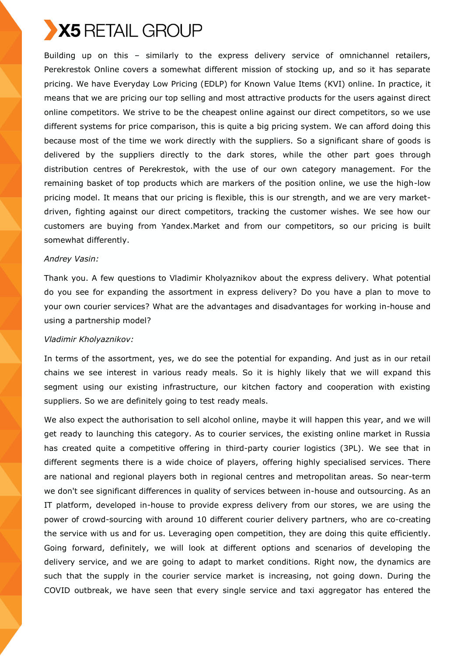

Building up on this – similarly to the express delivery service of omnichannel retailers, Perekrestok Online covers a somewhat different mission of stocking up, and so it has separate pricing. We have Everyday Low Pricing (EDLP) for Known Value Items (KVI) online. In practice, it means that we are pricing our top selling and most attractive products for the users against direct online competitors. We strive to be the cheapest online against our direct competitors, so we use different systems for price comparison, this is quite a big pricing system. We can afford doing this because most of the time we work directly with the suppliers. So a significant share of goods is delivered by the suppliers directly to the dark stores, while the other part goes through distribution centres of Perekrestok, with the use of our own category management. For the remaining basket of top products which are markers of the position online, we use the high-low pricing model. It means that our pricing is flexible, this is our strength, and we are very marketdriven, fighting against our direct competitors, tracking the customer wishes. We see how our customers are buying from Yandex.Market and from our competitors, so our pricing is built somewhat differently.

#### *Andrey Vasin:*

Thank you. A few questions to Vladimir Kholyaznikov about the express delivery. What potential do you see for expanding the assortment in express delivery? Do you have a plan to move to your own courier services? What are the advantages and disadvantages for working in-house and using a partnership model?

## *Vladimir Kholyaznikov:*

In terms of the assortment, yes, we do see the potential for expanding. And just as in our retail chains we see interest in various ready meals. So it is highly likely that we will expand this segment using our existing infrastructure, our kitchen factory and cooperation with existing suppliers. So we are definitely going to test ready meals.

We also expect the authorisation to sell alcohol online, maybe it will happen this year, and we will get ready to launching this category. As to courier services, the existing online market in Russia has created quite a competitive offering in third-party courier logistics (3PL). We see that in different segments there is a wide choice of players, offering highly specialised services. There are national and regional players both in regional centres and metropolitan areas. So near-term we don't see significant differences in quality of services between in-house and outsourcing. As an IT platform, developed in-house to provide express delivery from our stores, we are using the power of crowd-sourcing with around 10 different courier delivery partners, who are co-creating the service with us and for us. Leveraging open competition, they are doing this quite efficiently. Going forward, definitely, we will look at different options and scenarios of developing the delivery service, and we are going to adapt to market conditions. Right now, the dynamics are such that the supply in the courier service market is increasing, not going down. During the COVID outbreak, we have seen that every single service and taxi aggregator has entered the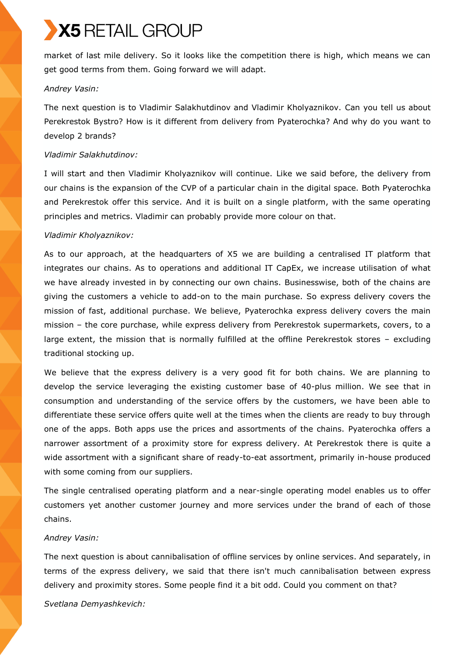market of last mile delivery. So it looks like the competition there is high, which means we can get good terms from them. Going forward we will adapt.

## *Andrey Vasin:*

The next question is to Vladimir Salakhutdinov and Vladimir Kholyaznikov. Can you tell us about Perekrestok Bystro? How is it different from delivery from Pyaterochka? And why do you want to develop 2 brands?

## *Vladimir Salakhutdinov:*

I will start and then Vladimir Kholyaznikov will continue. Like we said before, the delivery from our chains is the expansion of the CVP of a particular chain in the digital space. Both Pyaterochka and Perekrestok offer this service. And it is built on a single platform, with the same operating principles and metrics. Vladimir can probably provide more colour on that.

## *Vladimir Kholyaznikov:*

As to our approach, at the headquarters of X5 we are building a centralised IT platform that integrates our chains. As to operations and additional IT CapEx, we increase utilisation of what we have already invested in by connecting our own chains. Businesswise, both of the chains are giving the customers a vehicle to add-on to the main purchase. So express delivery covers the mission of fast, additional purchase. We believe, Pyaterochka express delivery covers the main mission – the core purchase, while express delivery from Perekrestok supermarkets, covers, to a large extent, the mission that is normally fulfilled at the offline Perekrestok stores – excluding traditional stocking up.

We believe that the express delivery is a very good fit for both chains. We are planning to develop the service leveraging the existing customer base of 40-plus million. We see that in consumption and understanding of the service offers by the customers, we have been able to differentiate these service offers quite well at the times when the clients are ready to buy through one of the apps. Both apps use the prices and assortments of the chains. Pyaterochka offers a narrower assortment of a proximity store for express delivery. At Perekrestok there is quite a wide assortment with a significant share of ready-to-eat assortment, primarily in-house produced with some coming from our suppliers.

The single centralised operating platform and a near-single operating model enables us to offer customers yet another customer journey and more services under the brand of each of those chains.

## *Andrey Vasin:*

The next question is about cannibalisation of offline services by online services. And separately, in terms of the express delivery, we said that there isn't much cannibalisation between express delivery and proximity stores. Some people find it a bit odd. Could you comment on that?

*Svetlana Demyashkevich:*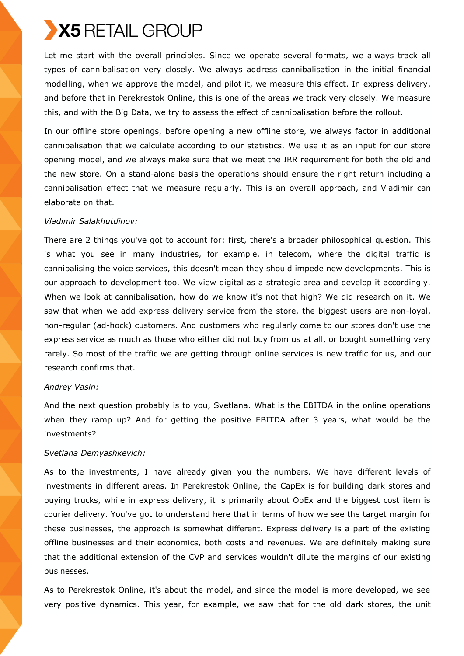Let me start with the overall principles. Since we operate several formats, we always track all types of cannibalisation very closely. We always address cannibalisation in the initial financial modelling, when we approve the model, and pilot it, we measure this effect. In express delivery, and before that in Perekrestok Online, this is one of the areas we track very closely. We measure this, and with the Big Data, we try to assess the effect of cannibalisation before the rollout.

In our offline store openings, before opening a new offline store, we always factor in additional cannibalisation that we calculate according to our statistics. We use it as an input for our store opening model, and we always make sure that we meet the IRR requirement for both the old and the new store. On a stand-alone basis the operations should ensure the right return including a cannibalisation effect that we measure regularly. This is an overall approach, and Vladimir can elaborate on that.

## *Vladimir Salakhutdinov:*

There are 2 things you've got to account for: first, there's a broader philosophical question. This is what you see in many industries, for example, in telecom, where the digital traffic is cannibalising the voice services, this doesn't mean they should impede new developments. This is our approach to development too. We view digital as a strategic area and develop it accordingly. When we look at cannibalisation, how do we know it's not that high? We did research on it. We saw that when we add express delivery service from the store, the biggest users are non-loyal, non-regular (ad-hock) customers. And customers who regularly come to our stores don't use the express service as much as those who either did not buy from us at all, or bought something very rarely. So most of the traffic we are getting through online services is new traffic for us, and our research confirms that.

## *Andrey Vasin:*

And the next question probably is to you, Svetlana. What is the EBITDA in the online operations when they ramp up? And for getting the positive EBITDA after 3 years, what would be the investments?

# *Svetlana Demyashkevich:*

As to the investments, I have already given you the numbers. We have different levels of investments in different areas. In Perekrestok Online, the CapEx is for building dark stores and buying trucks, while in express delivery, it is primarily about OpEx and the biggest cost item is courier delivery. You've got to understand here that in terms of how we see the target margin for these businesses, the approach is somewhat different. Express delivery is a part of the existing offline businesses and their economics, both costs and revenues. We are definitely making sure that the additional extension of the CVP and services wouldn't dilute the margins of our existing businesses.

As to Perekrestok Online, it's about the model, and since the model is more developed, we see very positive dynamics. This year, for example, we saw that for the old dark stores, the unit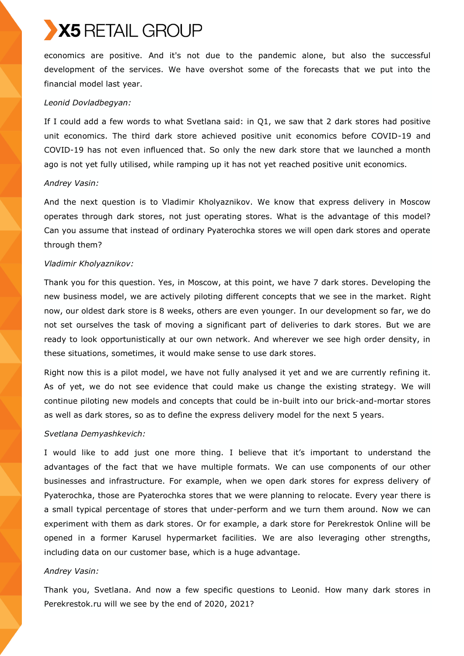economics are positive. And it's not due to the pandemic alone, but also the successful development of the services. We have overshot some of the forecasts that we put into the financial model last year.

#### *Leonid Dovladbegyan:*

If I could add a few words to what Svetlana said: in Q1, we saw that 2 dark stores had positive unit economics. The third dark store achieved positive unit economics before COVID-19 and COVID-19 has not even influenced that. So only the new dark store that we launched a month ago is not yet fully utilised, while ramping up it has not yet reached positive unit economics.

#### *Andrey Vasin:*

And the next question is to Vladimir Kholyaznikov. We know that express delivery in Moscow operates through dark stores, not just operating stores. What is the advantage of this model? Can you assume that instead of ordinary Pyaterochka stores we will open dark stores and operate through them?

#### *Vladimir Kholyaznikov:*

Thank you for this question. Yes, in Moscow, at this point, we have 7 dark stores. Developing the new business model, we are actively piloting different concepts that we see in the market. Right now, our oldest dark store is 8 weeks, others are even younger. In our development so far, we do not set ourselves the task of moving a significant part of deliveries to dark stores. But we are ready to look opportunistically at our own network. And wherever we see high order density, in these situations, sometimes, it would make sense to use dark stores.

Right now this is a pilot model, we have not fully analysed it yet and we are currently refining it. As of yet, we do not see evidence that could make us change the existing strategy. We will continue piloting new models and concepts that could be in-built into our brick-and-mortar stores as well as dark stores, so as to define the express delivery model for the next 5 years.

#### *Svetlana Demyashkevich:*

I would like to add just one more thing. I believe that it's important to understand the advantages of the fact that we have multiple formats. We can use components of our other businesses and infrastructure. For example, when we open dark stores for express delivery of Pyaterochka, those are Pyaterochka stores that we were planning to relocate. Every year there is a small typical percentage of stores that under-perform and we turn them around. Now we can experiment with them as dark stores. Or for example, a dark store for Perekrestok Online will be opened in a former Karusel hypermarket facilities. We are also leveraging other strengths, including data on our customer base, which is a huge advantage.

### *Andrey Vasin:*

Thank you, Svetlana. And now a few specific questions to Leonid. How many dark stores in Perekrestok.ru will we see by the end of 2020, 2021?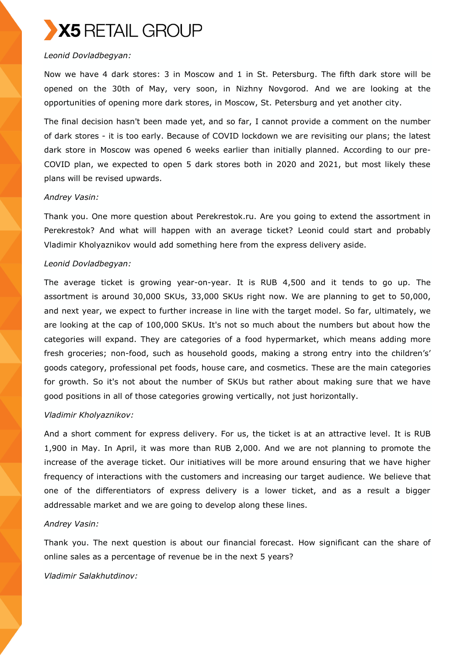

## *Leonid Dovladbegyan:*

Now we have 4 dark stores: 3 in Moscow and 1 in St. Petersburg. The fifth dark store will be opened on the 30th of May, very soon, in Nizhny Novgorod. And we are looking at the opportunities of opening more dark stores, in Moscow, St. Petersburg and yet another city.

The final decision hasn't been made yet, and so far, I cannot provide a comment on the number of dark stores - it is too early. Because of COVID lockdown we are revisiting our plans; the latest dark store in Moscow was opened 6 weeks earlier than initially planned. According to our pre-COVID plan, we expected to open 5 dark stores both in 2020 and 2021, but most likely these plans will be revised upwards.

#### *Andrey Vasin:*

Thank you. One more question about Perekrestok.ru. Are you going to extend the assortment in Perekrestok? And what will happen with an average ticket? Leonid could start and probably Vladimir Kholyaznikov would add something here from the express delivery aside.

### *Leonid Dovladbegyan:*

The average ticket is growing year-on-year. It is RUB 4,500 and it tends to go up. The assortment is around 30,000 SKUs, 33,000 SKUs right now. We are planning to get to 50,000, and next year, we expect to further increase in line with the target model. So far, ultimately, we are looking at the cap of 100,000 SKUs. It's not so much about the numbers but about how the categories will expand. They are categories of a food hypermarket, which means adding more fresh groceries; non-food, such as household goods, making a strong entry into the children's' goods category, professional pet foods, house care, and cosmetics. These are the main categories for growth. So it's not about the number of SKUs but rather about making sure that we have good positions in all of those categories growing vertically, not just horizontally.

#### *Vladimir Kholyaznikov:*

And a short comment for express delivery. For us, the ticket is at an attractive level. It is RUB 1,900 in May. In April, it was more than RUB 2,000. And we are not planning to promote the increase of the average ticket. Our initiatives will be more around ensuring that we have higher frequency of interactions with the customers and increasing our target audience. We believe that one of the differentiators of express delivery is a lower ticket, and as a result a bigger addressable market and we are going to develop along these lines.

#### *Andrey Vasin:*

Thank you. The next question is about our financial forecast. How significant can the share of online sales as a percentage of revenue be in the next 5 years?

*Vladimir Salakhutdinov:*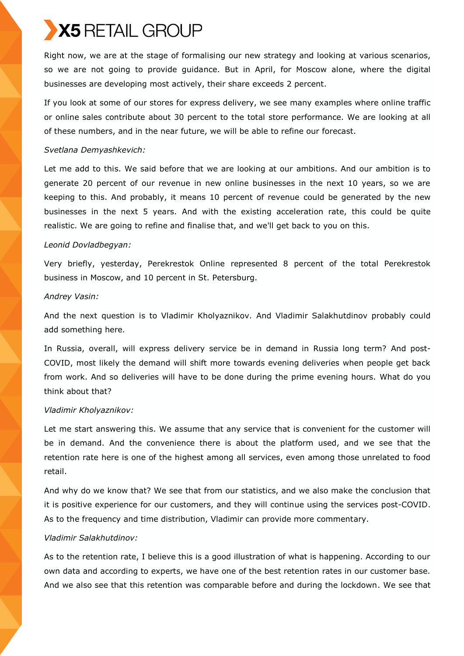Right now, we are at the stage of formalising our new strategy and looking at various scenarios, so we are not going to provide guidance. But in April, for Moscow alone, where the digital businesses are developing most actively, their share exceeds 2 percent.

If you look at some of our stores for express delivery, we see many examples where online traffic or online sales contribute about 30 percent to the total store performance. We are looking at all of these numbers, and in the near future, we will be able to refine our forecast.

## *Svetlana Demyashkevich:*

Let me add to this. We said before that we are looking at our ambitions. And our ambition is to generate 20 percent of our revenue in new online businesses in the next 10 years, so we are keeping to this. And probably, it means 10 percent of revenue could be generated by the new businesses in the next 5 years. And with the existing acceleration rate, this could be quite realistic. We are going to refine and finalise that, and we'll get back to you on this.

## *Leonid Dovladbegyan:*

Very briefly, yesterday, Perekrestok Online represented 8 percent of the total Perekrestok business in Moscow, and 10 percent in St. Petersburg.

### *Andrey Vasin:*

And the next question is to Vladimir Kholyaznikov. And Vladimir Salakhutdinov probably could add something here.

In Russia, overall, will express delivery service be in demand in Russia long term? And post-COVID, most likely the demand will shift more towards evening deliveries when people get back from work. And so deliveries will have to be done during the prime evening hours. What do you think about that?

## *Vladimir Kholyaznikov:*

Let me start answering this. We assume that any service that is convenient for the customer will be in demand. And the convenience there is about the platform used, and we see that the retention rate here is one of the highest among all services, even among those unrelated to food retail.

And why do we know that? We see that from our statistics, and we also make the conclusion that it is positive experience for our customers, and they will continue using the services post-COVID. As to the frequency and time distribution, Vladimir can provide more commentary.

## *Vladimir Salakhutdinov:*

As to the retention rate, I believe this is a good illustration of what is happening. According to our own data and according to experts, we have one of the best retention rates in our customer base. And we also see that this retention was comparable before and during the lockdown. We see that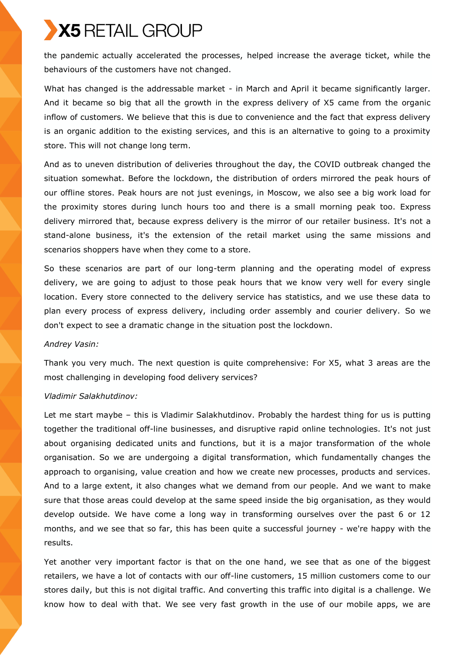the pandemic actually accelerated the processes, helped increase the average ticket, while the behaviours of the customers have not changed.

What has changed is the addressable market - in March and April it became significantly larger. And it became so big that all the growth in the express delivery of X5 came from the organic inflow of customers. We believe that this is due to convenience and the fact that express delivery is an organic addition to the existing services, and this is an alternative to going to a proximity store. This will not change long term.

And as to uneven distribution of deliveries throughout the day, the COVID outbreak changed the situation somewhat. Before the lockdown, the distribution of orders mirrored the peak hours of our offline stores. Peak hours are not just evenings, in Moscow, we also see a big work load for the proximity stores during lunch hours too and there is a small morning peak too. Express delivery mirrored that, because express delivery is the mirror of our retailer business. It's not a stand-alone business, it's the extension of the retail market using the same missions and scenarios shoppers have when they come to a store.

So these scenarios are part of our long-term planning and the operating model of express delivery, we are going to adjust to those peak hours that we know very well for every single location. Every store connected to the delivery service has statistics, and we use these data to plan every process of express delivery, including order assembly and courier delivery. So we don't expect to see a dramatic change in the situation post the lockdown.

## *Andrey Vasin:*

Thank you very much. The next question is quite comprehensive: For X5, what 3 areas are the most challenging in developing food delivery services?

## *Vladimir Salakhutdinov:*

Let me start maybe – this is Vladimir Salakhutdinov. Probably the hardest thing for us is putting together the traditional off-line businesses, and disruptive rapid online technologies. It's not just about organising dedicated units and functions, but it is a major transformation of the whole organisation. So we are undergoing a digital transformation, which fundamentally changes the approach to organising, value creation and how we create new processes, products and services. And to a large extent, it also changes what we demand from our people. And we want to make sure that those areas could develop at the same speed inside the big organisation, as they would develop outside. We have come a long way in transforming ourselves over the past 6 or 12 months, and we see that so far, this has been quite a successful journey - we're happy with the results.

Yet another very important factor is that on the one hand, we see that as one of the biggest retailers, we have a lot of contacts with our off-line customers, 15 million customers come to our stores daily, but this is not digital traffic. And converting this traffic into digital is a challenge. We know how to deal with that. We see very fast growth in the use of our mobile apps, we are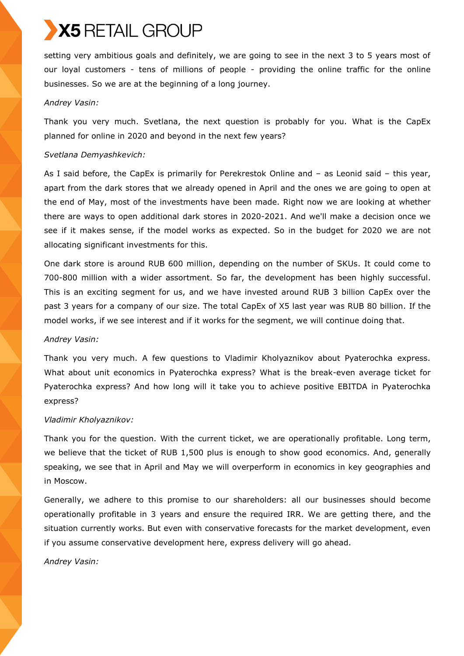

setting very ambitious goals and definitely, we are going to see in the next 3 to 5 years most of our loyal customers - tens of millions of people - providing the online traffic for the online businesses. So we are at the beginning of a long journey.

#### *Andrey Vasin:*

Thank you very much. Svetlana, the next question is probably for you. What is the CapEx planned for online in 2020 and beyond in the next few years?

## *Svetlana Demyashkevich:*

As I said before, the CapEx is primarily for Perekrestok Online and – as Leonid said – this year, apart from the dark stores that we already opened in April and the ones we are going to open at the end of May, most of the investments have been made. Right now we are looking at whether there are ways to open additional dark stores in 2020-2021. And we'll make a decision once we see if it makes sense, if the model works as expected. So in the budget for 2020 we are not allocating significant investments for this.

One dark store is around RUB 600 million, depending on the number of SKUs. It could come to 700-800 million with a wider assortment. So far, the development has been highly successful. This is an exciting segment for us, and we have invested around RUB 3 billion CapEx over the past 3 years for a company of our size. The total CapEx of X5 last year was RUB 80 billion. If the model works, if we see interest and if it works for the segment, we will continue doing that.

#### *Andrey Vasin:*

Thank you very much. A few questions to Vladimir Kholyaznikov about Pyaterochka express. What about unit economics in Pyaterochka express? What is the break-even average ticket for Pyaterochka express? And how long will it take you to achieve positive EBITDA in Pyaterochka express?

## *Vladimir Kholyaznikov:*

Thank you for the question. With the current ticket, we are operationally profitable. Long term, we believe that the ticket of RUB 1,500 plus is enough to show good economics. And, generally speaking, we see that in April and May we will overperform in economics in key geographies and in Moscow.

Generally, we adhere to this promise to our shareholders: all our businesses should become operationally profitable in 3 years and ensure the required IRR. We are getting there, and the situation currently works. But even with conservative forecasts for the market development, even if you assume conservative development here, express delivery will go ahead.

*Andrey Vasin:*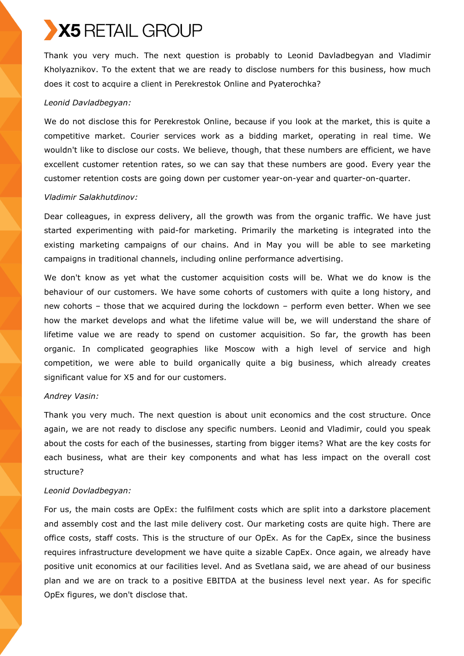Thank you very much. The next question is probably to Leonid Davladbegyan and Vladimir Kholyaznikov. To the extent that we are ready to disclose numbers for this business, how much does it cost to acquire a client in Perekrestok Online and Pyaterochka?

## *Leonid Davladbegyan:*

We do not disclose this for Perekrestok Online, because if you look at the market, this is quite a competitive market. Courier services work as a bidding market, operating in real time. We wouldn't like to disclose our costs. We believe, though, that these numbers are efficient, we have excellent customer retention rates, so we can say that these numbers are good. Every year the customer retention costs are going down per customer year-on-year and quarter-on-quarter.

## *Vladimir Salakhutdinov:*

Dear colleagues, in express delivery, all the growth was from the organic traffic. We have just started experimenting with paid-for marketing. Primarily the marketing is integrated into the existing marketing campaigns of our chains. And in May you will be able to see marketing campaigns in traditional channels, including online performance advertising.

We don't know as yet what the customer acquisition costs will be. What we do know is the behaviour of our customers. We have some cohorts of customers with quite a long history, and new cohorts – those that we acquired during the lockdown – perform even better. When we see how the market develops and what the lifetime value will be, we will understand the share of lifetime value we are ready to spend on customer acquisition. So far, the growth has been organic. In complicated geographies like Moscow with a high level of service and high competition, we were able to build organically quite a big business, which already creates significant value for X5 and for our customers.

# *Andrey Vasin:*

Thank you very much. The next question is about unit economics and the cost structure. Once again, we are not ready to disclose any specific numbers. Leonid and Vladimir, could you speak about the costs for each of the businesses, starting from bigger items? What are the key costs for each business, what are their key components and what has less impact on the overall cost structure?

# *Leonid Dovladbegyan:*

For us, the main costs are OpEx: the fulfilment costs which are split into a darkstore placement and assembly cost and the last mile delivery cost. Our marketing costs are quite high. There are office costs, staff costs. This is the structure of our OpEx. As for the CapEx, since the business requires infrastructure development we have quite a sizable CapEx. Once again, we already have positive unit economics at our facilities level. And as Svetlana said, we are ahead of our business plan and we are on track to a positive EBITDA at the business level next year. As for specific OpEx figures, we don't disclose that.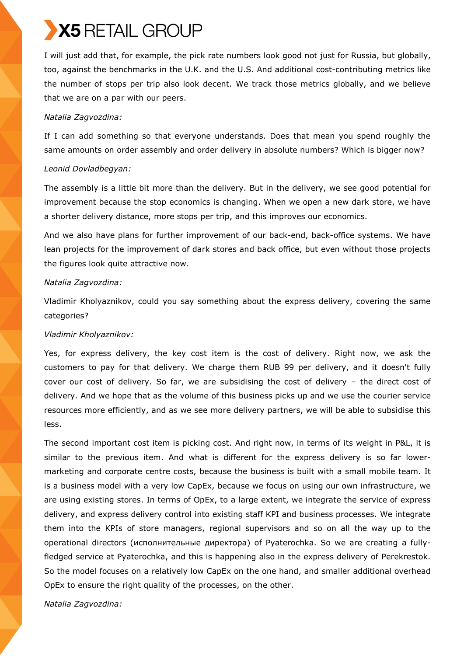I will just add that, for example, the pick rate numbers look good not just for Russia, but globally, too, against the benchmarks in the U.K. and the U.S. And additional cost-contributing metrics like the number of stops per trip also look decent. We track those metrics globally, and we believe that we are on a par with our peers.

## *Natalia Zagvozdina:*

If I can add something so that everyone understands. Does that mean you spend roughly the same amounts on order assembly and order delivery in absolute numbers? Which is bigger now?

# *Leonid Dovladbegyan:*

The assembly is a little bit more than the delivery. But in the delivery, we see good potential for improvement because the stop economics is changing. When we open a new dark store, we have a shorter delivery distance, more stops per trip, and this improves our economics.

And we also have plans for further improvement of our back-end, back-office systems. We have lean projects for the improvement of dark stores and back office, but even without those projects the figures look quite attractive now.

# *Natalia Zagvozdina:*

Vladimir Kholyaznikov, could you say something about the express delivery, covering the same categories?

# *Vladimir Kholyaznikov:*

Yes, for express delivery, the key cost item is the cost of delivery. Right now, we ask the customers to pay for that delivery. We charge them RUB 99 per delivery, and it doesn't fully cover our cost of delivery. So far, we are subsidising the cost of delivery – the direct cost of delivery. And we hope that as the volume of this business picks up and we use the courier service resources more efficiently, and as we see more delivery partners, we will be able to subsidise this less.

The second important cost item is picking cost. And right now, in terms of its weight in P&L, it is similar to the previous item. And what is different for the express delivery is so far lowermarketing and corporate centre costs, because the business is built with a small mobile team. It is a business model with a very low CapEx, because we focus on using our own infrastructure, we are using existing stores. In terms of OpEx, to a large extent, we integrate the service of express delivery, and express delivery control into existing staff KPI and business processes. We integrate them into the KPIs of store managers, regional supervisors and so on all the way up to the operational directors (исполнительные директора) of Pyaterochka. So we are creating a fullyfledged service at Pyaterochka, and this is happening also in the express delivery of Perekrestok. So the model focuses on a relatively low CapEx on the one hand, and smaller additional overhead OpEx to ensure the right quality of the processes, on the other.

*Natalia Zagvozdina:*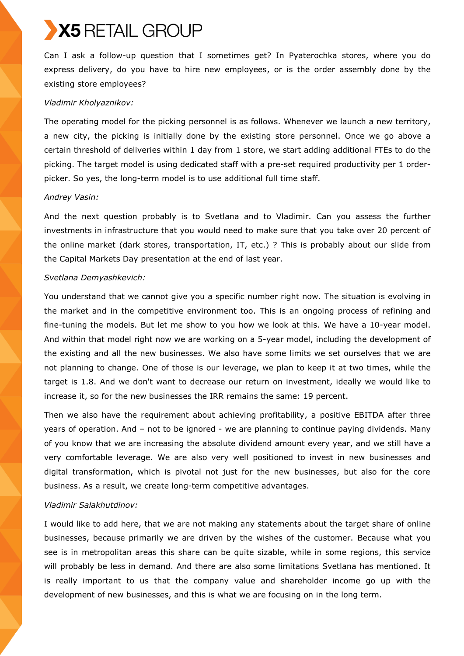Can I ask a follow-up question that I sometimes get? In Pyaterochka stores, where you do express delivery, do you have to hire new employees, or is the order assembly done by the existing store employees?

#### *Vladimir Kholyaznikov:*

The operating model for the picking personnel is as follows. Whenever we launch a new territory, a new city, the picking is initially done by the existing store personnel. Once we go above a certain threshold of deliveries within 1 day from 1 store, we start adding additional FTEs to do the picking. The target model is using dedicated staff with a pre-set required productivity per 1 orderpicker. So yes, the long-term model is to use additional full time staff.

#### *Andrey Vasin:*

And the next question probably is to Svetlana and to Vladimir. Can you assess the further investments in infrastructure that you would need to make sure that you take over 20 percent of the online market (dark stores, transportation, IT, etc.) ? This is probably about our slide from the Capital Markets Day presentation at the end of last year.

### *Svetlana Demyashkevich:*

You understand that we cannot give you a specific number right now. The situation is evolving in the market and in the competitive environment too. This is an ongoing process of refining and fine-tuning the models. But let me show to you how we look at this. We have a 10-year model. And within that model right now we are working on a 5-year model, including the development of the existing and all the new businesses. We also have some limits we set ourselves that we are not planning to change. One of those is our leverage, we plan to keep it at two times, while the target is 1.8. And we don't want to decrease our return on investment, ideally we would like to increase it, so for the new businesses the IRR remains the same: 19 percent.

Then we also have the requirement about achieving profitability, a positive EBITDA after three years of operation. And – not to be ignored - we are planning to continue paying dividends. Many of you know that we are increasing the absolute dividend amount every year, and we still have a very comfortable leverage. We are also very well positioned to invest in new businesses and digital transformation, which is pivotal not just for the new businesses, but also for the core business. As a result, we create long-term competitive advantages.

## *Vladimir Salakhutdinov:*

I would like to add here, that we are not making any statements about the target share of online businesses, because primarily we are driven by the wishes of the customer. Because what you see is in metropolitan areas this share can be quite sizable, while in some regions, this service will probably be less in demand. And there are also some limitations Svetlana has mentioned. It is really important to us that the company value and shareholder income go up with the development of new businesses, and this is what we are focusing on in the long term.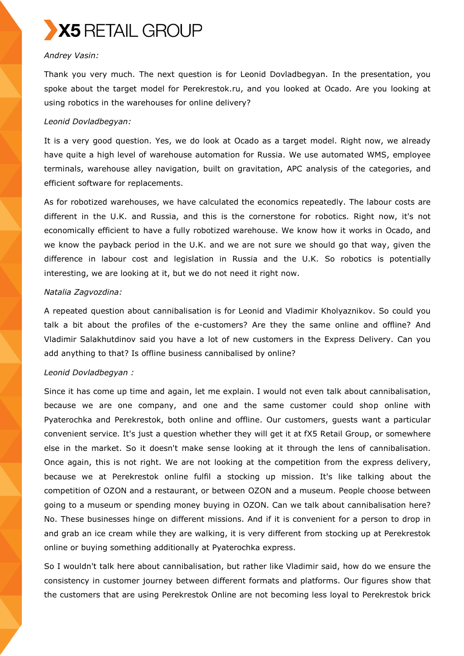

## *Andrey Vasin:*

Thank you very much. The next question is for Leonid Dovladbegyan. In the presentation, you spoke about the target model for Perekrestok.ru, and you looked at Ocado. Are you looking at using robotics in the warehouses for online delivery?

### *Leonid Dovladbegyan:*

It is a very good question. Yes, we do look at Ocado as a target model. Right now, we already have quite a high level of warehouse automation for Russia. We use automated WMS, employee terminals, warehouse alley navigation, built on gravitation, APC analysis of the categories, and efficient software for replacements.

As for robotized warehouses, we have calculated the economics repeatedly. The labour costs are different in the U.K. and Russia, and this is the cornerstone for robotics. Right now, it's not economically efficient to have a fully robotized warehouse. We know how it works in Ocado, and we know the payback period in the U.K. and we are not sure we should go that way, given the difference in labour cost and legislation in Russia and the U.K. So robotics is potentially interesting, we are looking at it, but we do not need it right now.

### *Natalia Zagvozdina:*

A repeated question about cannibalisation is for Leonid and Vladimir Kholyaznikov. So could you talk a bit about the profiles of the e-customers? Are they the same online and offline? And Vladimir Salakhutdinov said you have a lot of new customers in the Express Delivery. Can you add anything to that? Is offline business cannibalised by online?

## *Leonid Dovladbegyan :*

Since it has come up time and again, let me explain. I would not even talk about cannibalisation, because we are one company, and one and the same customer could shop online with Pyaterochka and Perekrestok, both online and offline. Our customers, guests want a particular convenient service. It's just a question whether they will get it at fX5 Retail Group, or somewhere else in the market. So it doesn't make sense looking at it through the lens of cannibalisation. Once again, this is not right. We are not looking at the competition from the express delivery, because we at Perekrestok online fulfil a stocking up mission. It's like talking about the competition of OZON and a restaurant, or between OZON and a museum. People choose between going to a museum or spending money buying in OZON. Can we talk about cannibalisation here? No. These businesses hinge on different missions. And if it is convenient for a person to drop in and grab an ice cream while they are walking, it is very different from stocking up at Perekrestok online or buying something additionally at Pyaterochka express.

So I wouldn't talk here about cannibalisation, but rather like Vladimir said, how do we ensure the consistency in customer journey between different formats and platforms. Our figures show that the customers that are using Perekrestok Online are not becoming less loyal to Perekrestok brick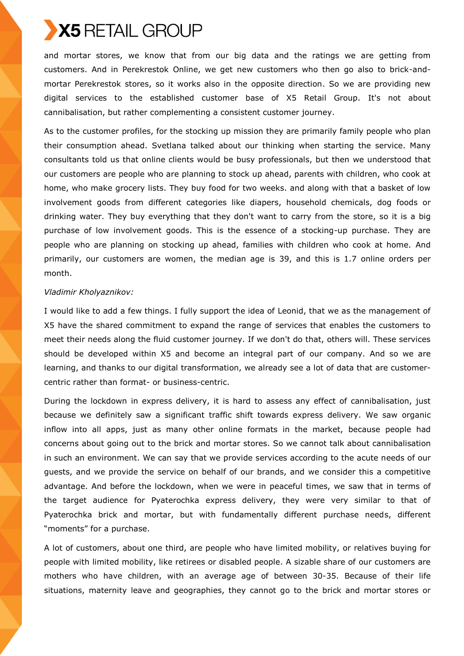and mortar stores, we know that from our big data and the ratings we are getting from customers. And in Perekrestok Online, we get new customers who then go also to brick-andmortar Perekrestok stores, so it works also in the opposite direction. So we are providing new digital services to the established customer base of X5 Retail Group. It's not about cannibalisation, but rather complementing a consistent customer journey.

As to the customer profiles, for the stocking up mission they are primarily family people who plan their consumption ahead. Svetlana talked about our thinking when starting the service. Many consultants told us that online clients would be busy professionals, but then we understood that our customers are people who are planning to stock up ahead, parents with children, who cook at home, who make grocery lists. They buy food for two weeks. and along with that a basket of low involvement goods from different categories like diapers, household chemicals, dog foods or drinking water. They buy everything that they don't want to carry from the store, so it is a big purchase of low involvement goods. This is the essence of a stocking-up purchase. They are people who are planning on stocking up ahead, families with children who cook at home. And primarily, our customers are women, the median age is 39, and this is 1.7 online orders per month.

## *Vladimir Kholyaznikov:*

I would like to add a few things. I fully support the idea of Leonid, that we as the management of X5 have the shared commitment to expand the range of services that enables the customers to meet their needs along the fluid customer journey. If we don't do that, others will. These services should be developed within X5 and become an integral part of our company. And so we are learning, and thanks to our digital transformation, we already see a lot of data that are customercentric rather than format- or business-centric.

During the lockdown in express delivery, it is hard to assess any effect of cannibalisation, just because we definitely saw a significant traffic shift towards express delivery. We saw organic inflow into all apps, just as many other online formats in the market, because people had concerns about going out to the brick and mortar stores. So we cannot talk about cannibalisation in such an environment. We can say that we provide services according to the acute needs of our guests, and we provide the service on behalf of our brands, and we consider this a competitive advantage. And before the lockdown, when we were in peaceful times, we saw that in terms of the target audience for Pyaterochka express delivery, they were very similar to that of Pyaterochka brick and mortar, but with fundamentally different purchase needs, different "moments" for a purchase.

A lot of customers, about one third, are people who have limited mobility, or relatives buying for people with limited mobility, like retirees or disabled people. A sizable share of our customers are mothers who have children, with an average age of between 30-35. Because of their life situations, maternity leave and geographies, they cannot go to the brick and mortar stores or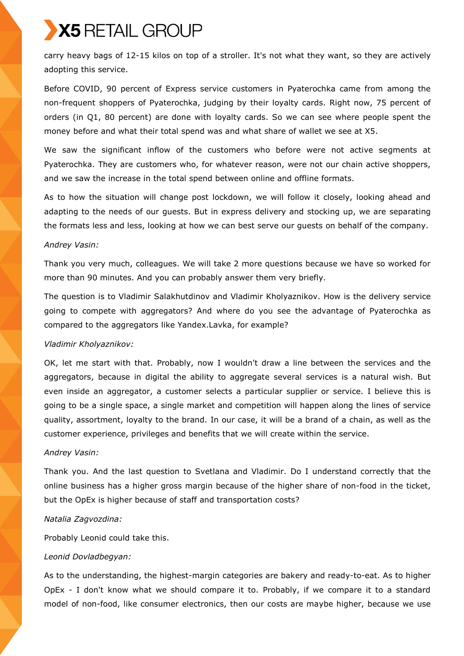carry heavy bags of 12-15 kilos on top of a stroller. It's not what they want, so they are actively adopting this service.

Before COVID, 90 percent of Express service customers in Pyaterochka came from among the non-frequent shoppers of Pyaterochka, judging by their loyalty cards. Right now, 75 percent of orders (in Q1, 80 percent) are done with loyalty cards. So we can see where people spent the money before and what their total spend was and what share of wallet we see at X5.

We saw the significant inflow of the customers who before were not active segments at Pyaterochka. They are customers who, for whatever reason, were not our chain active shoppers, and we saw the increase in the total spend between online and offline formats.

As to how the situation will change post lockdown, we will follow it closely, looking ahead and adapting to the needs of our guests. But in express delivery and stocking up, we are separating the formats less and less, looking at how we can best serve our guests on behalf of the company.

### *Andrey Vasin:*

Thank you very much, colleagues. We will take 2 more questions because we have so worked for more than 90 minutes. And you can probably answer them very briefly.

The question is to Vladimir Salakhutdinov and Vladimir Kholyaznikov. How is the delivery service going to compete with aggregators? And where do you see the advantage of Pyaterochka as compared to the aggregators like Yandex.Lavka, for example?

## *Vladimir Kholyaznikov:*

OK, let me start with that. Probably, now I wouldn't draw a line between the services and the aggregators, because in digital the ability to aggregate several services is a natural wish. But even inside an aggregator, a customer selects a particular supplier or service. I believe this is going to be a single space, a single market and competition will happen along the lines of service quality, assortment, loyalty to the brand. In our case, it will be a brand of a chain, as well as the customer experience, privileges and benefits that we will create within the service.

## *Andrey Vasin:*

Thank you. And the last question to Svetlana and Vladimir. Do I understand correctly that the online business has a higher gross margin because of the higher share of non-food in the ticket, but the OpEx is higher because of staff and transportation costs?

## *Natalia Zagvozdina:*

Probably Leonid could take this.

## *Leonid Dovladbegyan:*

As to the understanding, the highest-margin categories are bakery and ready-to-eat. As to higher OpEx - I don't know what we should compare it to. Probably, if we compare it to a standard model of non-food, like consumer electronics, then our costs are maybe higher, because we use